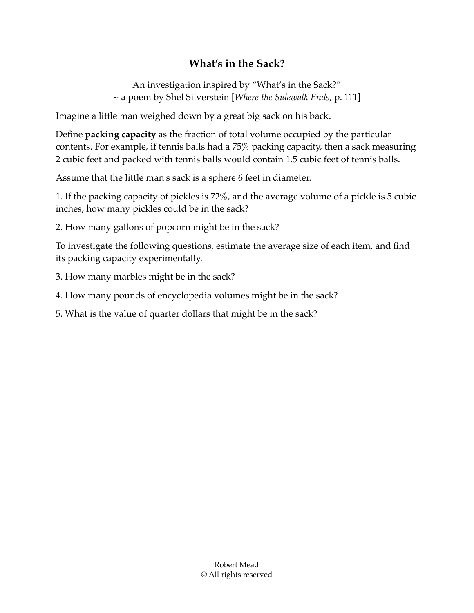## **What's in the Sack?**

An investigation inspired by "What's in the Sack?" ~ a poem by Shel Silverstein [*Where the Sidewalk Ends,* p. 111]

Imagine a little man weighed down by a great big sack on his back.

Define **packing capacity** as the fraction of total volume occupied by the particular contents. For example, if tennis balls had a 75% packing capacity, then a sack measuring 2 cubic feet and packed with tennis balls would contain 1.5 cubic feet of tennis balls.

Assume that the little man's sack is a sphere 6 feet in diameter.

1. If the packing capacity of pickles is 72%, and the average volume of a pickle is 5 cubic inches, how many pickles could be in the sack?

2. How many gallons of popcorn might be in the sack?

To investigate the following questions, estimate the average size of each item, and find its packing capacity experimentally.

3. How many marbles might be in the sack?

4. How many pounds of encyclopedia volumes might be in the sack?

5. What is the value of quarter dollars that might be in the sack?